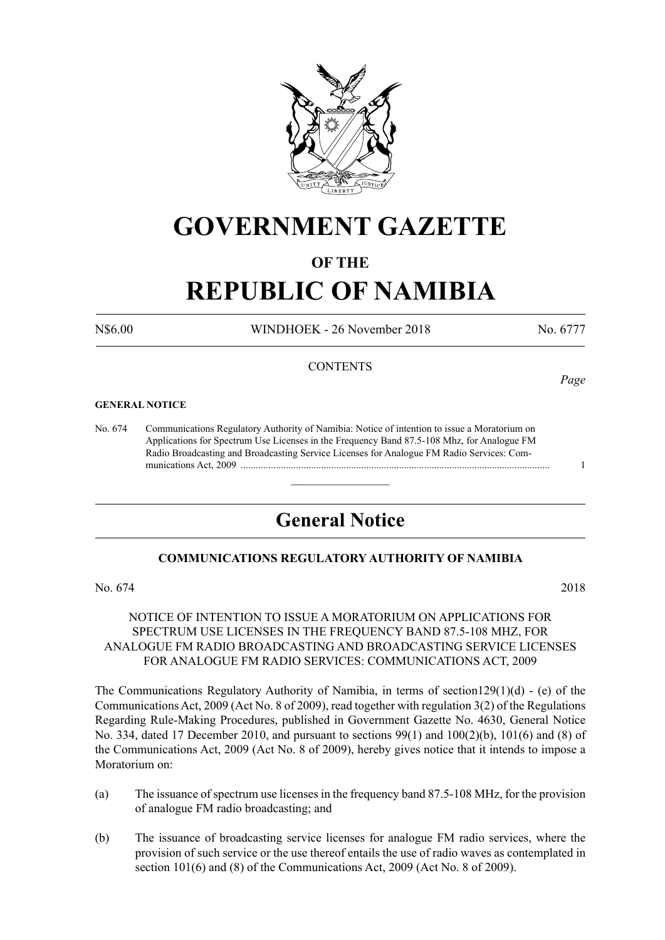

## **GOVERNMENT GAZETTE**

### **OF THE**

# **REPUBLIC OF NAMIBIA**

N\$6.00 WINDHOEK - 26 November 2018 No. 6777

*Page*

#### **CONTENTS**

#### **GENERAL NOTICE**

No. 674 Communications Regulatory Authority of Namibia: Notice of intention to issue a Moratorium on Applications for Spectrum Use Licenses in the Frequency Band 87.5-108 Mhz, for Analogue FM Radio Broadcasting and Broadcasting Service Licenses for Analogue FM Radio Services: Com munications Act, 2009 ........................................................................................................................... 1

### **General Notice**

 $\overline{\phantom{a}}$  , where  $\overline{\phantom{a}}$ 

#### **COMMUNICATIONS REGULATORY AUTHORITY OF NAMIBIA**

No. 674 2018

#### NOTICE OF INTENTION TO ISSUE A MORATORIUM ON APPLICATIONS FOR SPECTRUM USE LICENSES IN THE FREQUENCY BAND 87.5-108 MHZ, FOR ANALOGUE FM RADIO BROADCASTING AND BROADCASTING SERVICE LICENSES FOR ANALOGUE FM RADIO SERVICES: COMMUNICATIONS ACT, 2009

The Communications Regulatory Authority of Namibia, in terms of section129(1)(d) - (e) of the Communications Act, 2009 (Act No. 8 of 2009), read together with regulation 3(2) of the Regulations Regarding Rule-Making Procedures, published in Government Gazette No. 4630, General Notice No. 334, dated 17 December 2010, and pursuant to sections 99(1) and 100(2)(b), 101(6) and (8) of the Communications Act, 2009 (Act No. 8 of 2009), hereby gives notice that it intends to impose a Moratorium on:

- (a) The issuance of spectrum use licenses in the frequency band 87.5-108 MHz, for the provision of analogue FM radio broadcasting; and
- (b) The issuance of broadcasting service licenses for analogue FM radio services, where the provision of such service or the use thereof entails the use of radio waves as contemplated in section 101(6) and (8) of the Communications Act, 2009 (Act No. 8 of 2009).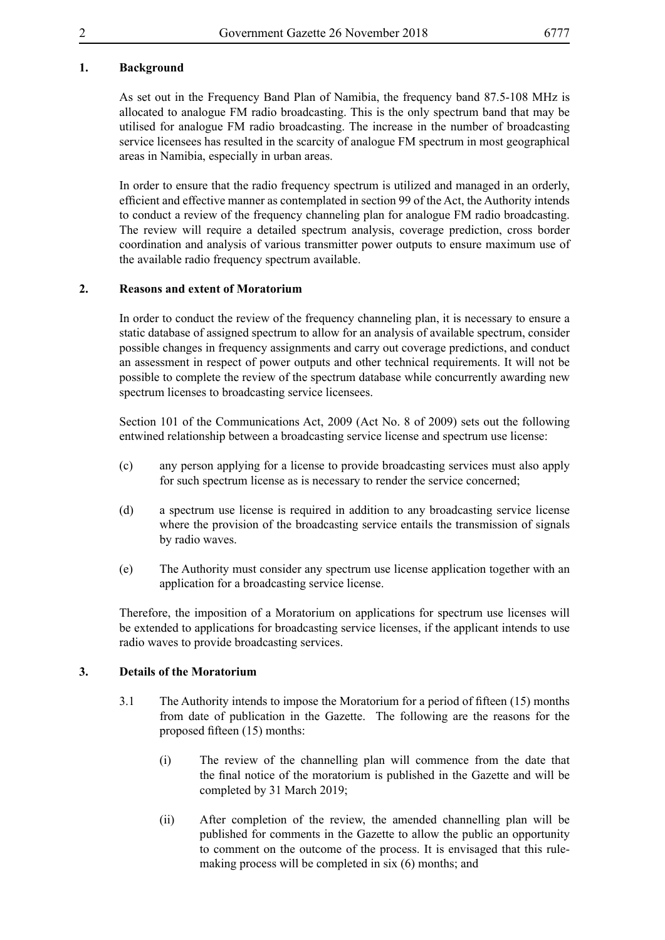#### **1. Background**

As set out in the Frequency Band Plan of Namibia, the frequency band 87.5-108 MHz is allocated to analogue FM radio broadcasting. This is the only spectrum band that may be utilised for analogue FM radio broadcasting. The increase in the number of broadcasting service licensees has resulted in the scarcity of analogue FM spectrum in most geographical areas in Namibia, especially in urban areas.

In order to ensure that the radio frequency spectrum is utilized and managed in an orderly, efficient and effective manner as contemplated in section 99 of the Act, the Authority intends to conduct a review of the frequency channeling plan for analogue FM radio broadcasting. The review will require a detailed spectrum analysis, coverage prediction, cross border coordination and analysis of various transmitter power outputs to ensure maximum use of the available radio frequency spectrum available.

#### **2. Reasons and extent of Moratorium**

In order to conduct the review of the frequency channeling plan, it is necessary to ensure a static database of assigned spectrum to allow for an analysis of available spectrum, consider possible changes in frequency assignments and carry out coverage predictions, and conduct an assessment in respect of power outputs and other technical requirements. It will not be possible to complete the review of the spectrum database while concurrently awarding new spectrum licenses to broadcasting service licensees.

Section 101 of the Communications Act, 2009 (Act No. 8 of 2009) sets out the following entwined relationship between a broadcasting service license and spectrum use license:

- (c) any person applying for a license to provide broadcasting services must also apply for such spectrum license as is necessary to render the service concerned;
- (d) a spectrum use license is required in addition to any broadcasting service license where the provision of the broadcasting service entails the transmission of signals by radio waves.
- (e) The Authority must consider any spectrum use license application together with an application for a broadcasting service license.

Therefore, the imposition of a Moratorium on applications for spectrum use licenses will be extended to applications for broadcasting service licenses, if the applicant intends to use radio waves to provide broadcasting services.

#### **3. Details of the Moratorium**

- 3.1 The Authority intends to impose the Moratorium for a period of fifteen (15) months from date of publication in the Gazette. The following are the reasons for the proposed fifteen (15) months:
	- (i) The review of the channelling plan will commence from the date that the final notice of the moratorium is published in the Gazette and will be completed by 31 March 2019;
	- (ii) After completion of the review, the amended channelling plan will be published for comments in the Gazette to allow the public an opportunity to comment on the outcome of the process. It is envisaged that this rulemaking process will be completed in six (6) months; and